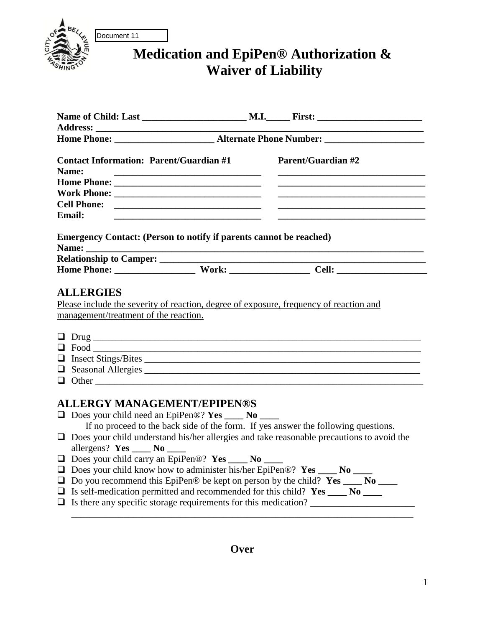

Document 11

## **Medication and EpiPen® Authorization & Waiver of Liability**

| Name:         | <b>Contact Information: Parent/Guardian #1</b>                                                                                                                         |  | <b>Parent/Guardian #2</b>                                                                        |  |  |  |
|---------------|------------------------------------------------------------------------------------------------------------------------------------------------------------------------|--|--------------------------------------------------------------------------------------------------|--|--|--|
|               |                                                                                                                                                                        |  |                                                                                                  |  |  |  |
|               |                                                                                                                                                                        |  |                                                                                                  |  |  |  |
|               |                                                                                                                                                                        |  |                                                                                                  |  |  |  |
| <b>Email:</b> |                                                                                                                                                                        |  |                                                                                                  |  |  |  |
|               | <b>Emergency Contact: (Person to notify if parents cannot be reached)</b><br>the control of the control of the control of the control of the control of the control of |  |                                                                                                  |  |  |  |
|               |                                                                                                                                                                        |  | Home Phone: Work: Cell:                                                                          |  |  |  |
|               | $\Box$ Other                                                                                                                                                           |  |                                                                                                  |  |  |  |
|               | <b>ALLERGY MANAGEMENT/EPIPEN®S</b><br>$\Box$ Does your child need an EpiPen®? Yes ____ No ____                                                                         |  |                                                                                                  |  |  |  |
|               | If no proceed to the back side of the form. If yes answer the following questions.                                                                                     |  | $\Box$ Does your child understand his/her allergies and take reasonable precautions to avoid the |  |  |  |
|               | allergens? $Yes$ No $\Box$                                                                                                                                             |  |                                                                                                  |  |  |  |
|               | $\Box$ Does your child carry an EpiPen®? Yes ____ No ____                                                                                                              |  |                                                                                                  |  |  |  |
|               | $\Box$ Does your child know how to administer his/her EpiPen®? Yes ____ No ____                                                                                        |  |                                                                                                  |  |  |  |
|               | $\Box$ Do you recommend this EpiPen® be kept on person by the child? Yes ____ No ____                                                                                  |  |                                                                                                  |  |  |  |
|               | $\Box$ Is self-medication permitted and recommended for this child? Yes ____ No ____                                                                                   |  |                                                                                                  |  |  |  |
|               |                                                                                                                                                                        |  |                                                                                                  |  |  |  |
|               |                                                                                                                                                                        |  |                                                                                                  |  |  |  |